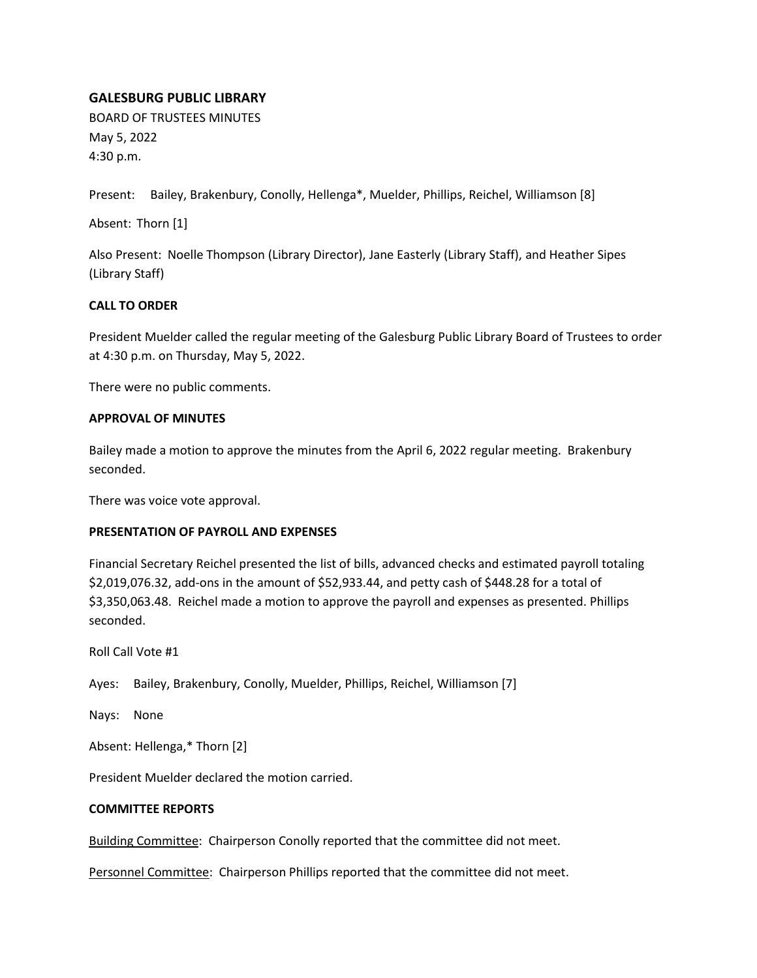# **GALESBURG PUBLIC LIBRARY**

BOARD OF TRUSTEES MINUTES May 5, 2022 4:30 p.m.

Present: Bailey, Brakenbury, Conolly, Hellenga\*, Muelder, Phillips, Reichel, Williamson [8]

Absent: Thorn [1]

Also Present: Noelle Thompson (Library Director), Jane Easterly (Library Staff), and Heather Sipes (Library Staff)

# **CALL TO ORDER**

President Muelder called the regular meeting of the Galesburg Public Library Board of Trustees to order at 4:30 p.m. on Thursday, May 5, 2022.

There were no public comments.

## **APPROVAL OF MINUTES**

Bailey made a motion to approve the minutes from the April 6, 2022 regular meeting. Brakenbury seconded.

There was voice vote approval.

## **PRESENTATION OF PAYROLL AND EXPENSES**

Financial Secretary Reichel presented the list of bills, advanced checks and estimated payroll totaling \$2,019,076.32, add-ons in the amount of \$52,933.44, and petty cash of \$448.28 for a total of \$3,350,063.48. Reichel made a motion to approve the payroll and expenses as presented. Phillips seconded.

Roll Call Vote #1

Ayes: Bailey, Brakenbury, Conolly, Muelder, Phillips, Reichel, Williamson [7]

Nays: None

Absent: Hellenga,\* Thorn [2]

President Muelder declared the motion carried.

## **COMMITTEE REPORTS**

Building Committee: Chairperson Conolly reported that the committee did not meet.

Personnel Committee: Chairperson Phillips reported that the committee did not meet.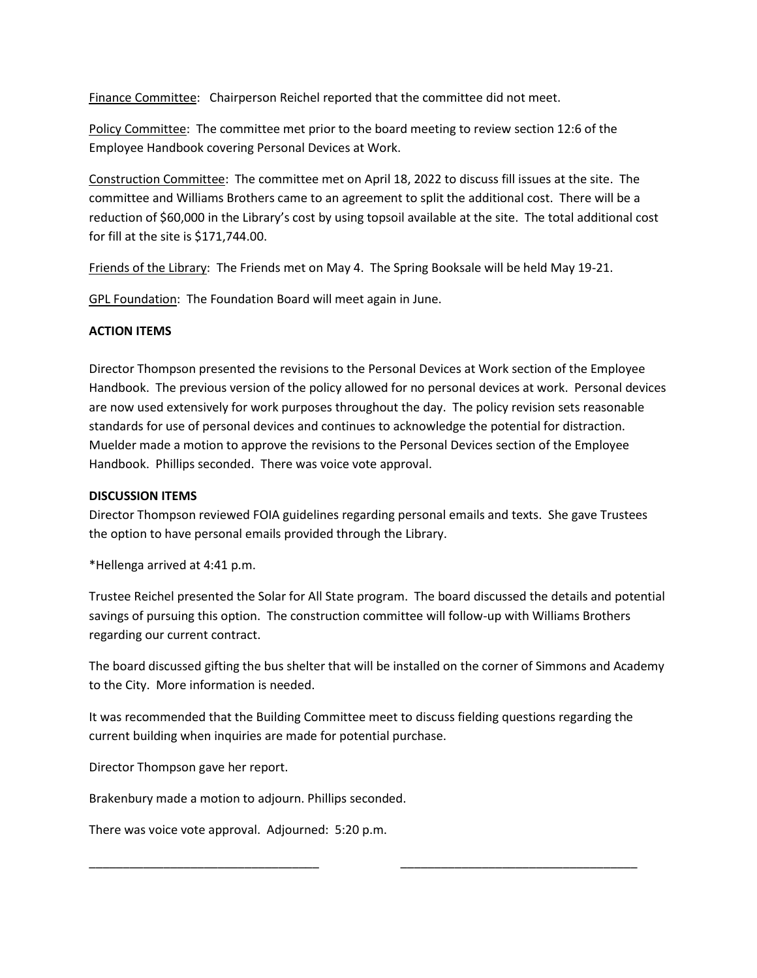Finance Committee: Chairperson Reichel reported that the committee did not meet.

Policy Committee: The committee met prior to the board meeting to review section 12:6 of the Employee Handbook covering Personal Devices at Work.

Construction Committee: The committee met on April 18, 2022 to discuss fill issues at the site. The committee and Williams Brothers came to an agreement to split the additional cost. There will be a reduction of \$60,000 in the Library's cost by using topsoil available at the site. The total additional cost for fill at the site is \$171,744.00.

Friends of the Library: The Friends met on May 4. The Spring Booksale will be held May 19-21.

GPL Foundation: The Foundation Board will meet again in June.

## **ACTION ITEMS**

Director Thompson presented the revisions to the Personal Devices at Work section of the Employee Handbook. The previous version of the policy allowed for no personal devices at work. Personal devices are now used extensively for work purposes throughout the day. The policy revision sets reasonable standards for use of personal devices and continues to acknowledge the potential for distraction. Muelder made a motion to approve the revisions to the Personal Devices section of the Employee Handbook. Phillips seconded. There was voice vote approval.

## **DISCUSSION ITEMS**

Director Thompson reviewed FOIA guidelines regarding personal emails and texts. She gave Trustees the option to have personal emails provided through the Library.

\*Hellenga arrived at 4:41 p.m.

Trustee Reichel presented the Solar for All State program. The board discussed the details and potential savings of pursuing this option. The construction committee will follow-up with Williams Brothers regarding our current contract.

The board discussed gifting the bus shelter that will be installed on the corner of Simmons and Academy to the City. More information is needed.

It was recommended that the Building Committee meet to discuss fielding questions regarding the current building when inquiries are made for potential purchase.

\_\_\_\_\_\_\_\_\_\_\_\_\_\_\_\_\_\_\_\_\_\_\_\_\_\_\_\_\_\_\_\_\_\_ \_\_\_\_\_\_\_\_\_\_\_\_\_\_\_\_\_\_\_\_\_\_\_\_\_\_\_\_\_\_\_\_\_\_\_

Director Thompson gave her report.

Brakenbury made a motion to adjourn. Phillips seconded.

There was voice vote approval. Adjourned: 5:20 p.m.